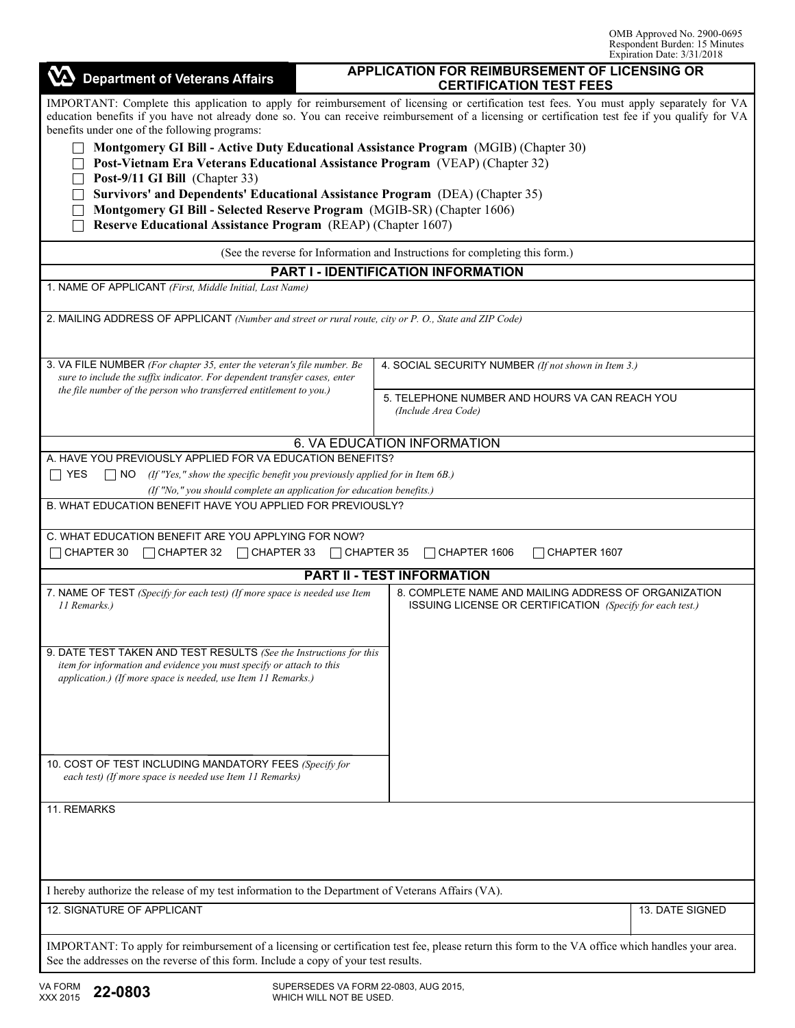| <b>Department of Veterans Affairs</b>                                                                                                                                                                                                                                                                                                                                                                                                                                                                                 | APPLICATION FOR REIMBURSEMENT OF LICENSING OR<br><b>CERTIFICATION TEST FEES</b>                                   |                 |  |  |  |  |  |
|-----------------------------------------------------------------------------------------------------------------------------------------------------------------------------------------------------------------------------------------------------------------------------------------------------------------------------------------------------------------------------------------------------------------------------------------------------------------------------------------------------------------------|-------------------------------------------------------------------------------------------------------------------|-----------------|--|--|--|--|--|
| IMPORTANT: Complete this application to apply for reimbursement of licensing or certification test fees. You must apply separately for VA<br>education benefits if you have not already done so. You can receive reimbursement of a licensing or certification test fee if you qualify for VA<br>benefits under one of the following programs:<br>Montgomery GI Bill - Active Duty Educational Assistance Program (MGIB) (Chapter 30)<br>Post-Vietnam Era Veterans Educational Assistance Program (VEAP) (Chapter 32) |                                                                                                                   |                 |  |  |  |  |  |
| Post-9/11 GI Bill (Chapter 33)                                                                                                                                                                                                                                                                                                                                                                                                                                                                                        |                                                                                                                   |                 |  |  |  |  |  |
| Survivors' and Dependents' Educational Assistance Program (DEA) (Chapter 35)<br>Montgomery GI Bill - Selected Reserve Program (MGIB-SR) (Chapter 1606)                                                                                                                                                                                                                                                                                                                                                                |                                                                                                                   |                 |  |  |  |  |  |
| Reserve Educational Assistance Program (REAP) (Chapter 1607)                                                                                                                                                                                                                                                                                                                                                                                                                                                          |                                                                                                                   |                 |  |  |  |  |  |
| (See the reverse for Information and Instructions for completing this form.)                                                                                                                                                                                                                                                                                                                                                                                                                                          |                                                                                                                   |                 |  |  |  |  |  |
| <b>PART I - IDENTIFICATION INFORMATION</b>                                                                                                                                                                                                                                                                                                                                                                                                                                                                            |                                                                                                                   |                 |  |  |  |  |  |
| 1. NAME OF APPLICANT (First, Middle Initial, Last Name)                                                                                                                                                                                                                                                                                                                                                                                                                                                               |                                                                                                                   |                 |  |  |  |  |  |
| 2. MAILING ADDRESS OF APPLICANT (Number and street or rural route, city or P. O., State and ZIP Code)                                                                                                                                                                                                                                                                                                                                                                                                                 |                                                                                                                   |                 |  |  |  |  |  |
| 3. VA FILE NUMBER (For chapter 35, enter the veteran's file number. Be<br>sure to include the suffix indicator. For dependent transfer cases, enter                                                                                                                                                                                                                                                                                                                                                                   | 4. SOCIAL SECURITY NUMBER (If not shown in Item 3.)                                                               |                 |  |  |  |  |  |
| the file number of the person who transferred entitlement to you.)                                                                                                                                                                                                                                                                                                                                                                                                                                                    | 5. TELEPHONE NUMBER AND HOURS VA CAN REACH YOU<br>(Include Area Code)                                             |                 |  |  |  |  |  |
|                                                                                                                                                                                                                                                                                                                                                                                                                                                                                                                       | 6. VA EDUCATION INFORMATION                                                                                       |                 |  |  |  |  |  |
| A. HAVE YOU PREVIOUSLY APPLIED FOR VA EDUCATION BENEFITS?                                                                                                                                                                                                                                                                                                                                                                                                                                                             |                                                                                                                   |                 |  |  |  |  |  |
| ∏ YES<br>$\Box$ NO (If "Yes," show the specific benefit you previously applied for in Item 6B.)                                                                                                                                                                                                                                                                                                                                                                                                                       |                                                                                                                   |                 |  |  |  |  |  |
| (If "No," you should complete an application for education benefits.)<br>B. WHAT EDUCATION BENEFIT HAVE YOU APPLIED FOR PREVIOUSLY?                                                                                                                                                                                                                                                                                                                                                                                   |                                                                                                                   |                 |  |  |  |  |  |
|                                                                                                                                                                                                                                                                                                                                                                                                                                                                                                                       |                                                                                                                   |                 |  |  |  |  |  |
| C. WHAT EDUCATION BENEFIT ARE YOU APPLYING FOR NOW?<br>$\sqcap$ CHAPTER 30<br>□ CHAPTER 32 □ CHAPTER 33 □ CHAPTER 35                                                                                                                                                                                                                                                                                                                                                                                                  | CHAPTER 1606<br>CHAPTER 1607                                                                                      |                 |  |  |  |  |  |
|                                                                                                                                                                                                                                                                                                                                                                                                                                                                                                                       | <b>PART II - TEST INFORMATION</b>                                                                                 |                 |  |  |  |  |  |
| 7. NAME OF TEST (Specify for each test) (If more space is needed use Item<br>11 Remarks.)                                                                                                                                                                                                                                                                                                                                                                                                                             | 8. COMPLETE NAME AND MAILING ADDRESS OF ORGANIZATION<br>ISSUING LICENSE OR CERTIFICATION (Specify for each test.) |                 |  |  |  |  |  |
| 9. DATE TEST TAKEN AND TEST RESULTS (See the Instructions for this<br>item for information and evidence you must specify or attach to this<br>application.) (If more space is needed, use Item 11 Remarks.)                                                                                                                                                                                                                                                                                                           |                                                                                                                   |                 |  |  |  |  |  |
| 10. COST OF TEST INCLUDING MANDATORY FEES (Specify for<br>each test) (If more space is needed use Item 11 Remarks)                                                                                                                                                                                                                                                                                                                                                                                                    |                                                                                                                   |                 |  |  |  |  |  |
|                                                                                                                                                                                                                                                                                                                                                                                                                                                                                                                       |                                                                                                                   |                 |  |  |  |  |  |
| 11. REMARKS                                                                                                                                                                                                                                                                                                                                                                                                                                                                                                           |                                                                                                                   |                 |  |  |  |  |  |
| I hereby authorize the release of my test information to the Department of Veterans Affairs (VA).                                                                                                                                                                                                                                                                                                                                                                                                                     |                                                                                                                   |                 |  |  |  |  |  |
| 12. SIGNATURE OF APPLICANT                                                                                                                                                                                                                                                                                                                                                                                                                                                                                            |                                                                                                                   | 13. DATE SIGNED |  |  |  |  |  |
| IMPORTANT: To apply for reimbursement of a licensing or certification test fee, please return this form to the VA office which handles your area.<br>See the addresses on the reverse of this form. Include a copy of your test results.                                                                                                                                                                                                                                                                              |                                                                                                                   |                 |  |  |  |  |  |